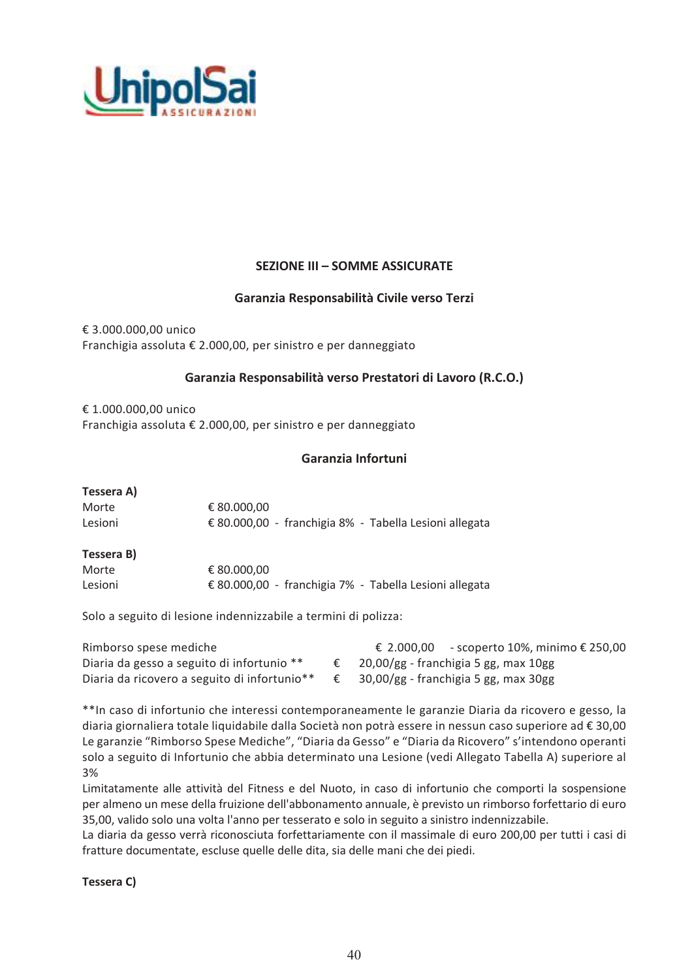

## **SEZIONE III - SOMME ASSICURATE**

### Garanzia Responsabilità Civile verso Terzi

€ 3.000.000,00 unico Franchigia assoluta € 2.000,00, per sinistro e per danneggiato

### Garanzia Responsabilità verso Prestatori di Lavoro (R.C.O.)

€ 1.000.000,00 unico Franchigia assoluta € 2.000,00, per sinistro e per danneggiato

### Garanzia Infortuni

| Tessera A) |                                                        |  |
|------------|--------------------------------------------------------|--|
| Morte      | € 80.000,00                                            |  |
| Lesioni    | € 80.000,00 - franchigia 8% - Tabella Lesioni allegata |  |
| Tessera B) |                                                        |  |
| Morte      | € 80.000.00                                            |  |

Solo a seguito di lesione indennizzabile a termini di polizza:

| Rimborso spese mediche                       | € 2.000,00 - scoperto 10%, minimo € 250,00 |
|----------------------------------------------|--------------------------------------------|
| Diaria da gesso a seguito di infortunio **   | $20,00/gg$ - franchigia 5 gg, max $10gg$   |
| Diaria da ricovero a seguito di infortunio** | 30,00/gg - franchigia 5 gg, max 30gg       |

€ 80.000,00 - franchigia 7% - Tabella Lesioni allegata

\*\* In caso di infortunio che interessi contemporaneamente le garanzie Diaria da ricovero e gesso, la diaria giornaliera totale liquidabile dalla Società non potrà essere in nessun caso superiore ad € 30,00 Le garanzie "Rimborso Spese Mediche", "Diaria da Gesso" e "Diaria da Ricovero" s'intendono operanti solo a seguito di Infortunio che abbia determinato una Lesione (vedi Allegato Tabella A) superiore al 3%

Limitatamente alle attività del Fitness e del Nuoto, in caso di infortunio che comporti la sospensione per almeno un mese della fruizione dell'abbonamento annuale, è previsto un rimborso forfettario di euro 35,00, valido solo una volta l'anno per tesserato e solo in seguito a sinistro indennizzabile.

La diaria da gesso verrà riconosciuta forfettariamente con il massimale di euro 200,00 per tutti i casi di fratture documentate, escluse quelle delle dita, sia delle mani che dei piedi.

Tessera C)

Lesioni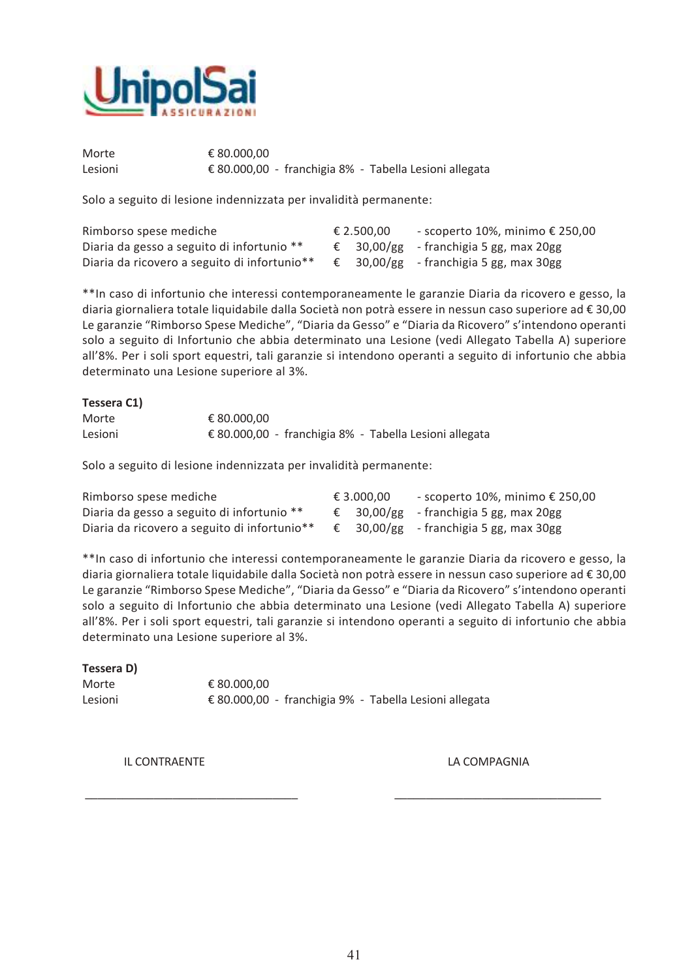

Morte € 80.000.00 € 80.000,00 - franchigia 8% - Tabella Lesioni allegata Lesioni

Solo a seguito di lesione indennizzata per invalidità permanente:

| Rimborso spese mediche                       | € 2.500.00 | - scoperto 10%, minimo € 250,00                 |
|----------------------------------------------|------------|-------------------------------------------------|
| Diaria da gesso a seguito di infortunio **   |            | $\epsilon$ 30,00/gg - franchigia 5 gg, max 20gg |
| Diaria da ricovero a seguito di infortunio** |            | € 30,00/gg - franchigia 5 gg, max 30gg          |

\*\* In caso di infortunio che interessi contemporaneamente le garanzie Diaria da ricovero e gesso, la diaria giornaliera totale liquidabile dalla Società non potrà essere in nessun caso superiore ad € 30,00 Le garanzie "Rimborso Spese Mediche", "Diaria da Gesso" e "Diaria da Ricovero" s'intendono operanti solo a seguito di Infortunio che abbia determinato una Lesione (vedi Allegato Tabella A) superiore all'8%. Per i soli sport equestri, tali garanzie si intendono operanti a seguito di infortunio che abbia determinato una Lesione superiore al 3%.

| Tessera C1) |                                                        |
|-------------|--------------------------------------------------------|
| Morte       | € 80.000.00                                            |
| Lesioni     | € 80.000,00 - franchigia 8% - Tabella Lesioni allegata |

Solo a seguito di lesione indennizzata per invalidità permanente:

| Rimborso spese mediche                       | € 3.000.00 | - scoperto 10%, minimo € 250,00                 |
|----------------------------------------------|------------|-------------------------------------------------|
| Diaria da gesso a seguito di infortunio **   |            | $\epsilon$ 30,00/gg - franchigia 5 gg, max 20gg |
| Diaria da ricovero a seguito di infortunio** |            | € 30,00/gg - franchigia 5 gg, max 30gg          |

\*\* In caso di infortunio che interessi contemporaneamente le garanzie Diaria da ricovero e gesso, la diaria giornaliera totale liquidabile dalla Società non potrà essere in nessun caso superiore ad € 30,00 Le garanzie "Rimborso Spese Mediche", "Diaria da Gesso" e "Diaria da Ricovero" s'intendono operanti solo a seguito di Infortunio che abbia determinato una Lesione (vedi Allegato Tabella A) superiore all'8%. Per i soli sport equestri, tali garanzie si intendono operanti a seguito di infortunio che abbia determinato una Lesione superiore al 3%.

### Tessera D)

Morte € 80.000.00 Lesioni € 80.000,00 - franchigia 9% - Tabella Lesioni allegata

**IL CONTRAENTE** 

LA COMPAGNIA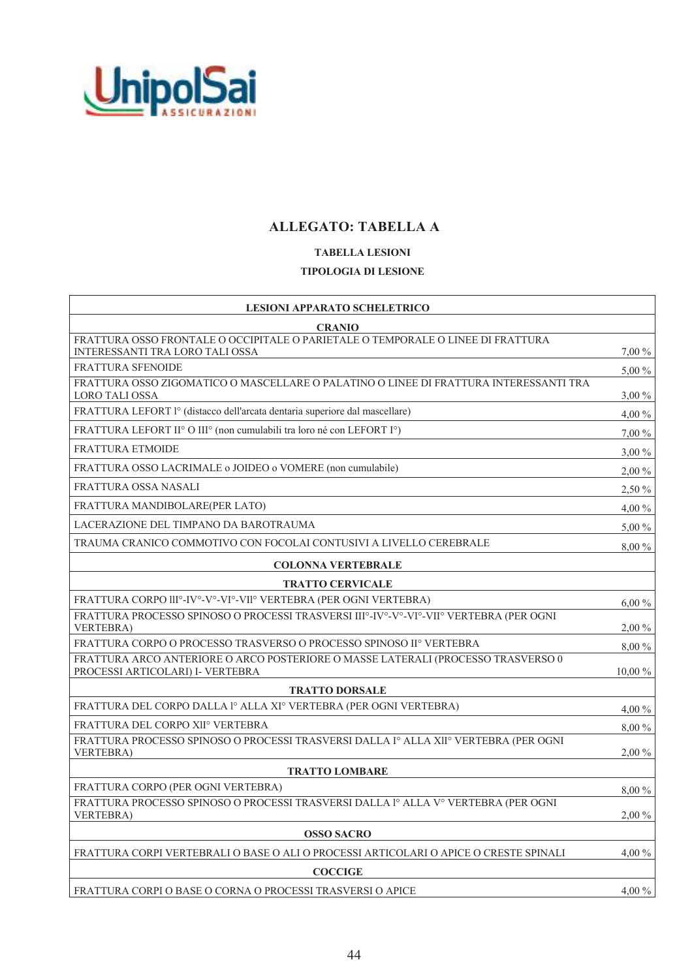

# **ALLEGATO: TABELLA A**

## **TABELLA LESIONI TIPOLOGIA DI LESIONE**

| <b>LESIONI APPARATO SCHELETRICO</b>                                                                                  |           |
|----------------------------------------------------------------------------------------------------------------------|-----------|
| <b>CRANIO</b>                                                                                                        |           |
| FRATTURA OSSO FRONTALE O OCCIPITALE O PARIETALE O TEMPORALE O LINEE DI FRATTURA<br>INTERESSANTI TRA LORO TALI OSSA   | 7,00 %    |
| <b>FRATTURA SFENOIDE</b>                                                                                             | 5,00 %    |
| FRATTURA OSSO ZIGOMATICO O MASCELLARE O PALATINO O LINEE DI FRATTURA INTERESSANTI TRA<br>LORO TALI OSSA              | $3,00\%$  |
| FRATTURA LEFORT l° (distacco dell'arcata dentaria superiore dal mascellare)                                          | $4,00\%$  |
| FRATTURA LEFORT II <sup>o</sup> O III <sup>o</sup> (non cumulabili tra loro né con LEFORT I <sup>o</sup> )           | $7,00\%$  |
| <b>FRATTURA ETMOIDE</b>                                                                                              | $3,00\%$  |
| FRATTURA OSSO LACRIMALE o JOIDEO o VOMERE (non cumulabile)                                                           | $2,00\%$  |
| <b>FRATTURA OSSA NASALI</b>                                                                                          | $2,50\%$  |
| FRATTURA MANDIBOLARE(PER LATO)                                                                                       | $4,00\%$  |
| LACERAZIONE DEL TIMPANO DA BAROTRAUMA                                                                                | $5,00\%$  |
| TRAUMA CRANICO COMMOTIVO CON FOCOLAI CONTUSIVI A LIVELLO CEREBRALE                                                   | 8,00 %    |
| <b>COLONNA VERTEBRALE</b>                                                                                            |           |
| <b>TRATTO CERVICALE</b>                                                                                              |           |
| FRATTURA CORPO III°-IV°-V°-VI°-VII° VERTEBRA (PER OGNI VERTEBRA)                                                     | $6,00\%$  |
| FRATTURA PROCESSO SPINOSO O PROCESSI TRASVERSI IIIº-IVº-Vº-VIº-VIIº VERTEBRA (PER OGNI<br><b>VERTEBRA</b> )          | $2,00\%$  |
| FRATTURA CORPO O PROCESSO TRASVERSO O PROCESSO SPINOSO IIº VERTEBRA                                                  | 8,00 %    |
| FRATTURA ARCO ANTERIORE O ARCO POSTERIORE O MASSE LATERALI (PROCESSO TRASVERSO 0<br>PROCESSI ARTICOLARI) I- VERTEBRA | $10,00\%$ |
| <b>TRATTO DORSALE</b>                                                                                                |           |
| FRATTURA DEL CORPO DALLA 1º ALLA XIº VERTEBRA (PER OGNI VERTEBRA)                                                    | $4,00\%$  |
| FRATTURA DEL CORPO XIIº VERTEBRA                                                                                     | 8,00 %    |
| FRATTURA PROCESSO SPINOSO O PROCESSI TRASVERSI DALLA Iº ALLA XIIº VERTEBRA (PER OGNI<br><b>VERTEBRA</b>              | $2,00\%$  |
| <b>TRATTO LOMBARE</b>                                                                                                |           |
| FRATTURA CORPO (PER OGNI VERTEBRA)                                                                                   | 8,00 %    |
| FRATTURA PROCESSO SPINOSO O PROCESSI TRASVERSI DALLA lº ALLA Vº VERTEBRA (PER OGNI<br><b>VERTEBRA)</b>               | $2,00\%$  |
| <b>OSSO SACRO</b>                                                                                                    |           |
| FRATTURA CORPI VERTEBRALI O BASE O ALI O PROCESSI ARTICOLARI O APICE O CRESTE SPINALI                                | $4.00\%$  |
| <b>COCCIGE</b>                                                                                                       |           |
| FRATTURA CORPI O BASE O CORNA O PROCESSI TRASVERSI O APICE                                                           | $4,00\%$  |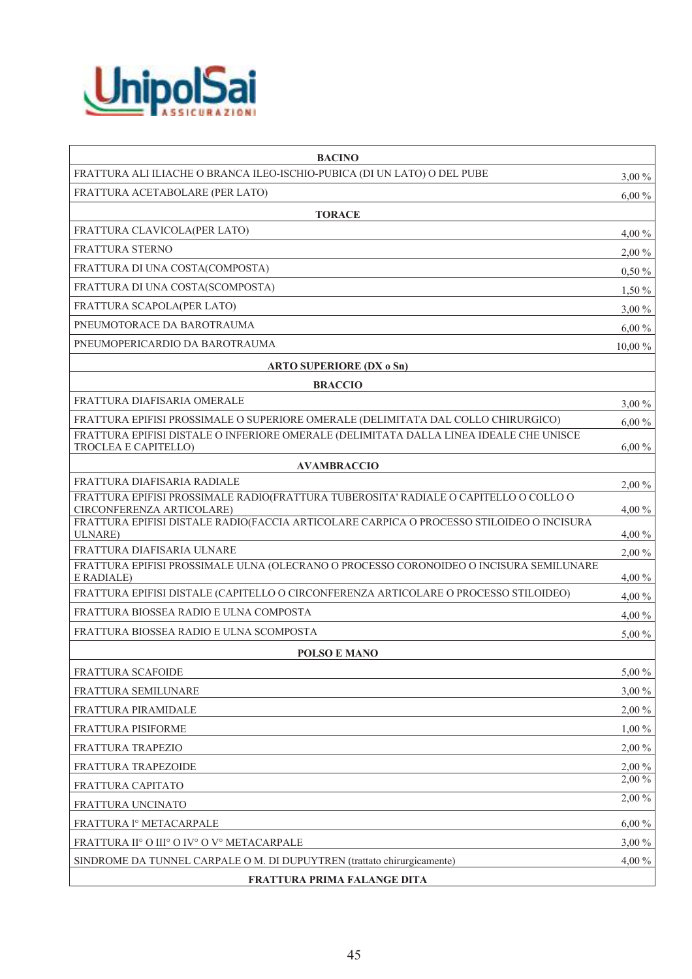

| <b>BACINO</b>                                                                                                     |           |
|-------------------------------------------------------------------------------------------------------------------|-----------|
| FRATTURA ALI ILIACHE O BRANCA ILEO-ISCHIO-PUBICA (DI UN LATO) O DEL PUBE                                          | $3,00\%$  |
| FRATTURA ACETABOLARE (PER LATO)                                                                                   | $6,00\%$  |
| <b>TORACE</b>                                                                                                     |           |
| FRATTURA CLAVICOLA(PER LATO)                                                                                      | $4,00\%$  |
| <b>FRATTURA STERNO</b>                                                                                            | 2,00 %    |
| FRATTURA DI UNA COSTA(COMPOSTA)                                                                                   | $0,50\%$  |
| FRATTURA DI UNA COSTA(SCOMPOSTA)                                                                                  | $1,50\%$  |
| FRATTURA SCAPOLA(PER LATO)                                                                                        | $3,00\%$  |
| PNEUMOTORACE DA BAROTRAUMA                                                                                        | $6,00\%$  |
| PNEUMOPERICARDIO DA BAROTRAUMA                                                                                    | $10,00\%$ |
| <b>ARTO SUPERIORE (DX o Sn)</b>                                                                                   |           |
| <b>BRACCIO</b>                                                                                                    |           |
| FRATTURA DIAFISARIA OMERALE                                                                                       | $3,00\%$  |
| FRATTURA EPIFISI PROSSIMALE O SUPERIORE OMERALE (DELIMITATA DAL COLLO CHIRURGICO)                                 | $6,00\%$  |
| FRATTURA EPIFISI DISTALE O INFERIORE OMERALE (DELIMITATA DALLA LINEA IDEALE CHE UNISCE<br>TROCLEA E CAPITELLO)    | $6,00\%$  |
| <b>AVAMBRACCIO</b>                                                                                                |           |
| FRATTURA DIAFISARIA RADIALE                                                                                       | $2,00\%$  |
| FRATTURA EPIFISI PROSSIMALE RADIO(FRATTURA TUBEROSITA' RADIALE O CAPITELLO O COLLO O<br>CIRCONFERENZA ARTICOLARE) | 4,00 %    |
| FRATTURA EPIFISI DISTALE RADIO(FACCIA ARTICOLARE CARPICA O PROCESSO STILOIDEO O INCISURA<br><b>ULNARE</b> )       | 4,00 %    |
| FRATTURA DIAFISARIA ULNARE                                                                                        | $2,00\%$  |
| FRATTURA EPIFISI PROSSIMALE ULNA (OLECRANO O PROCESSO CORONOIDEO O INCISURA SEMILUNARE<br>E RADIALE)              | $4,00\%$  |
| FRATTURA EPIFISI DISTALE (CAPITELLO O CIRCONFERENZA ARTICOLARE O PROCESSO STILOIDEO)                              | $4,00\%$  |
| FRATTURA BIOSSEA RADIO E ULNA COMPOSTA                                                                            | 4,00 %    |
| FRATTURA BIOSSEA RADIO E ULNA SCOMPOSTA                                                                           | 5,00 %    |
| <b>POLSO E MANO</b>                                                                                               |           |
| FRATTURA SCAFOIDE                                                                                                 | 5,00 %    |
| FRATTURA SEMILUNARE                                                                                               | $3,00\%$  |
| FRATTURA PIRAMIDALE                                                                                               | $2,00\%$  |
| FRATTURA PISIFORME                                                                                                | $1,00\%$  |
| FRATTURA TRAPEZIO                                                                                                 | 2,00 %    |
| FRATTURA TRAPEZOIDE                                                                                               | $2,00\%$  |
| FRATTURA CAPITATO                                                                                                 | 2,00 %    |
| FRATTURA UNCINATO                                                                                                 | $2,00\%$  |
| FRATTURA <sup>1</sup> º METACARPALE                                                                               | $6,00\%$  |
| FRATTURA II° O III° O IV° O V° METACARPALE                                                                        | $3,00\%$  |
| SINDROME DA TUNNEL CARPALE O M. DI DUPUYTREN (trattato chirurgicamente)                                           | 4,00 %    |
| FRATTURA PRIMA FALANGE DITA                                                                                       |           |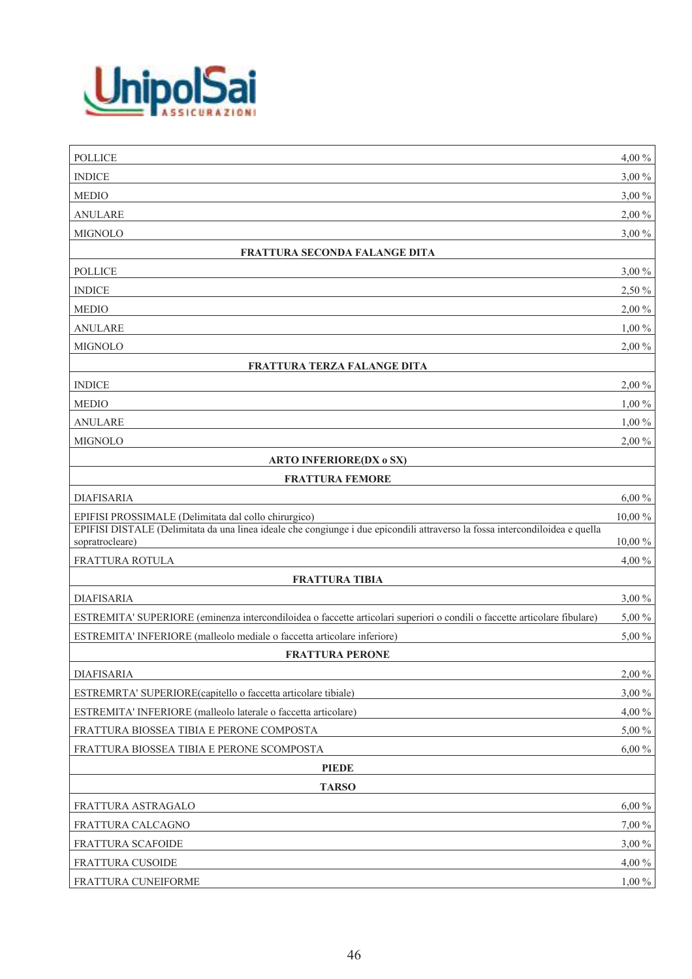

| <b>POLLICE</b>                                                                                                                                  | 4,00 %   |
|-------------------------------------------------------------------------------------------------------------------------------------------------|----------|
| <b>INDICE</b>                                                                                                                                   | $3,00\%$ |
| <b>MEDIO</b>                                                                                                                                    | $3,00\%$ |
| <b>ANULARE</b>                                                                                                                                  | 2,00 %   |
| <b>MIGNOLO</b>                                                                                                                                  | 3,00 %   |
| FRATTURA SECONDA FALANGE DITA                                                                                                                   |          |
| <b>POLLICE</b>                                                                                                                                  | $3,00\%$ |
| <b>INDICE</b>                                                                                                                                   | 2,50 %   |
| <b>MEDIO</b>                                                                                                                                    | 2,00 %   |
| <b>ANULARE</b>                                                                                                                                  | $1,00\%$ |
| <b>MIGNOLO</b>                                                                                                                                  | 2,00 %   |
| FRATTURA TERZA FALANGE DITA                                                                                                                     |          |
| <b>INDICE</b>                                                                                                                                   | 2,00 %   |
| <b>MEDIO</b>                                                                                                                                    | $1,00\%$ |
| <b>ANULARE</b>                                                                                                                                  | $1,00\%$ |
| <b>MIGNOLO</b>                                                                                                                                  | 2,00 %   |
| <b>ARTO INFERIORE(DX o SX)</b>                                                                                                                  |          |
| <b>FRATTURA FEMORE</b>                                                                                                                          |          |
| <b>DIAFISARIA</b>                                                                                                                               | $6,00\%$ |
| EPIFISI PROSSIMALE (Delimitata dal collo chirurgico)                                                                                            | 10,00 %  |
| EPIFISI DISTALE (Delimitata da una linea ideale che congiunge i due epicondili attraverso la fossa intercondiloidea e quella<br>sopratrocleare) | 10,00 %  |
| FRATTURA ROTULA                                                                                                                                 | 4,00 %   |
| <b>FRATTURA TIBIA</b>                                                                                                                           |          |
| <b>DIAFISARIA</b>                                                                                                                               | $3,00\%$ |
| ESTREMITA' SUPERIORE (eminenza intercondiloidea o faccette articolari superiori o condili o faccette articolare fibulare)                       | 5,00 %   |
| ESTREMITA' INFERIORE (malleolo mediale o faccetta articolare inferiore)                                                                         | 5,00 %   |
| <b>FRATTURA PERONE</b>                                                                                                                          |          |
| <b>DIAFISARIA</b>                                                                                                                               | 2,00 %   |
| ESTREMRTA' SUPERIORE(capitello o faccetta articolare tibiale)                                                                                   | $3,00\%$ |
| ESTREMITA' INFERIORE (malleolo laterale o faccetta articolare)                                                                                  | 4,00 %   |
| FRATTURA BIOSSEA TIBIA E PERONE COMPOSTA                                                                                                        | 5,00 %   |
| FRATTURA BIOSSEA TIBIA E PERONE SCOMPOSTA                                                                                                       | $6,00\%$ |
| <b>PIEDE</b>                                                                                                                                    |          |
| <b>TARSO</b>                                                                                                                                    |          |
| FRATTURA ASTRAGALO                                                                                                                              | $6,00\%$ |
| FRATTURA CALCAGNO                                                                                                                               | 7,00 %   |
| FRATTURA SCAFOIDE                                                                                                                               | $3,00\%$ |
| FRATTURA CUSOIDE                                                                                                                                | 4,00 %   |
| FRATTURA CUNEIFORME                                                                                                                             | $1,00\%$ |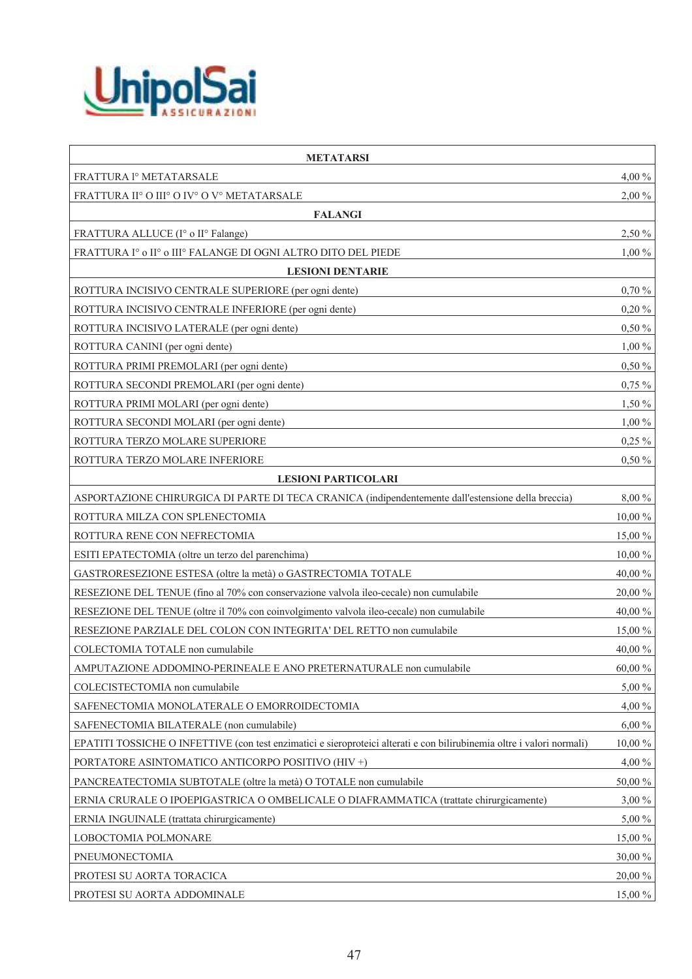

| <b>METATARSI</b>                                                                                                       |           |
|------------------------------------------------------------------------------------------------------------------------|-----------|
| FRATTURA <sup>1</sup> º METATARSALE                                                                                    | 4,00 %    |
| FRATTURA II° O III° O IV° O V° METATARSALE                                                                             | $2,00\%$  |
| <b>FALANGI</b>                                                                                                         |           |
| FRATTURA ALLUCE (I° o II° Falange)                                                                                     | 2,50 %    |
| FRATTURA Iº o IIº o IIIº FALANGE DI OGNI ALTRO DITO DEL PIEDE                                                          | $1,00\%$  |
| <b>LESIONI DENTARIE</b>                                                                                                |           |
| ROTTURA INCISIVO CENTRALE SUPERIORE (per ogni dente)                                                                   | 0,70%     |
| ROTTURA INCISIVO CENTRALE INFERIORE (per ogni dente)                                                                   | 0,20%     |
| ROTTURA INCISIVO LATERALE (per ogni dente)                                                                             | 0,50%     |
| ROTTURA CANINI (per ogni dente)                                                                                        | $1,00\%$  |
| ROTTURA PRIMI PREMOLARI (per ogni dente)                                                                               | $0,50\%$  |
| ROTTURA SECONDI PREMOLARI (per ogni dente)                                                                             | $0,75\%$  |
| ROTTURA PRIMI MOLARI (per ogni dente)                                                                                  | $1,50\%$  |
| ROTTURA SECONDI MOLARI (per ogni dente)                                                                                | $1,00\%$  |
| ROTTURA TERZO MOLARE SUPERIORE                                                                                         | $0,25\%$  |
| ROTTURA TERZO MOLARE INFERIORE                                                                                         | $0,50\%$  |
| <b>LESIONI PARTICOLARI</b>                                                                                             |           |
| ASPORTAZIONE CHIRURGICA DI PARTE DI TECA CRANICA (indipendentemente dall'estensione della breccia)                     | 8,00%     |
| ROTTURA MILZA CON SPLENECTOMIA                                                                                         | 10,00 %   |
| ROTTURA RENE CON NEFRECTOMIA                                                                                           | 15,00 %   |
| ESITI EPATECTOMIA (oltre un terzo del parenchima)                                                                      | 10,00 %   |
| GASTRORESEZIONE ESTESA (oltre la metà) o GASTRECTOMIA TOTALE                                                           | 40,00%    |
| RESEZIONE DEL TENUE (fino al 70% con conservazione valvola ileo-cecale) non cumulabile                                 | 20,00 %   |
| RESEZIONE DEL TENUE (oltre il 70% con coinvolgimento valvola ileo-cecale) non cumulabile                               | 40,00%    |
| RESEZIONE PARZIALE DEL COLON CON INTEGRITA' DEL RETTO non cumulabile                                                   | 15,00 %   |
| COLECTOMIA TOTALE non cumulabile                                                                                       | 40,00 %   |
| AMPUTAZIONE ADDOMINO-PERINEALE E ANO PRETERNATURALE non cumulabile                                                     | 60,00%    |
| COLECISTECTOMIA non cumulabile                                                                                         | 5,00 %    |
| SAFENECTOMIA MONOLATERALE O EMORROIDECTOMIA                                                                            | 4,00 %    |
| SAFENECTOMIA BILATERALE (non cumulabile)                                                                               | $6,00\%$  |
| EPATITI TOSSICHE O INFETTIVE (con test enzimatici e sieroproteici alterati e con bilirubinemia oltre i valori normali) | $10,00\%$ |
| PORTATORE ASINTOMATICO ANTICORPO POSITIVO (HIV +)                                                                      | 4,00 %    |
| PANCREATECTOMIA SUBTOTALE (oltre la metà) O TOTALE non cumulabile                                                      | 50,00 %   |
| ERNIA CRURALE O IPOEPIGASTRICA O OMBELICALE O DIAFRAMMATICA (trattate chirurgicamente)                                 | $3,00\%$  |
| ERNIA INGUINALE (trattata chirurgicamente)                                                                             | 5,00 %    |
| LOBOCTOMIA POLMONARE                                                                                                   | 15,00 %   |
| PNEUMONECTOMIA                                                                                                         | 30,00 %   |
| PROTESI SU AORTA TORACICA                                                                                              | 20,00 %   |
| PROTESI SU AORTA ADDOMINALE                                                                                            | $15,00\%$ |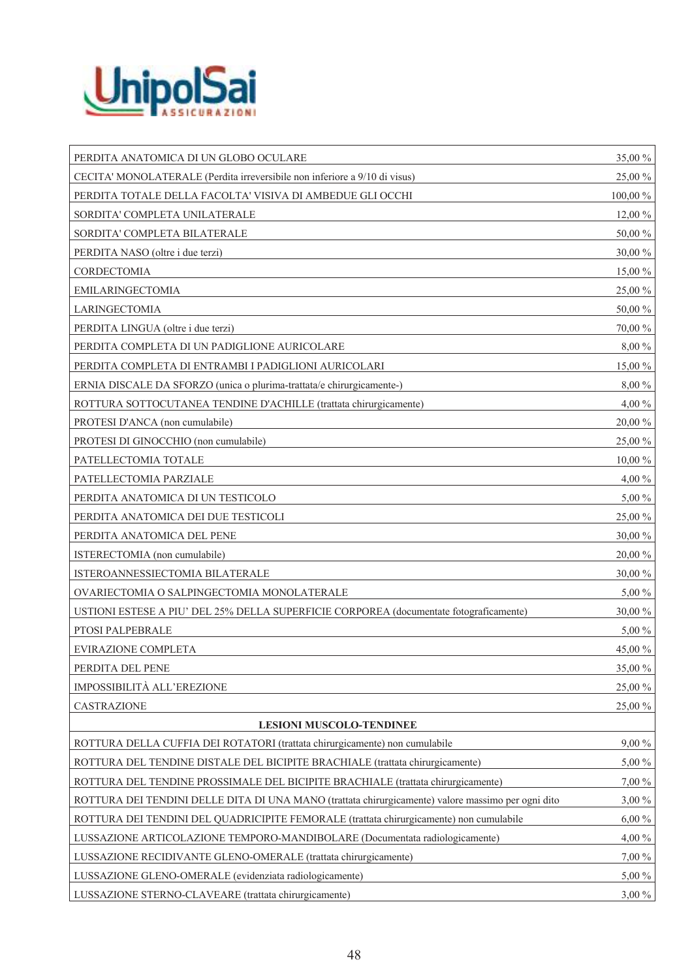

| PERDITA ANATOMICA DI UN GLOBO OCULARE                                                              | 35,00 %  |
|----------------------------------------------------------------------------------------------------|----------|
| CECITA' MONOLATERALE (Perdita irreversibile non inferiore a 9/10 di visus)                         | 25,00 %  |
| PERDITA TOTALE DELLA FACOLTA' VISIVA DI AMBEDUE GLI OCCHI                                          | 100,00 % |
| SORDITA' COMPLETA UNILATERALE                                                                      | 12,00 %  |
| SORDITA' COMPLETA BILATERALE                                                                       | 50,00 %  |
| PERDITA NASO (oltre i due terzi)                                                                   | 30,00 %  |
| CORDECTOMIA                                                                                        | 15,00 %  |
| <b>EMILARINGECTOMIA</b>                                                                            | 25,00 %  |
| LARINGECTOMIA                                                                                      | 50,00 %  |
| PERDITA LINGUA (oltre i due terzi)                                                                 | 70,00 %  |
| PERDITA COMPLETA DI UN PADIGLIONE AURICOLARE                                                       | 8,00 %   |
| PERDITA COMPLETA DI ENTRAMBI I PADIGLIONI AURICOLARI                                               | 15,00 %  |
| ERNIA DISCALE DA SFORZO (unica o plurima-trattata/e chirurgicamente-)                              | 8,00 %   |
| ROTTURA SOTTOCUTANEA TENDINE D'ACHILLE (trattata chirurgicamente)                                  | 4,00 %   |
| PROTESI D'ANCA (non cumulabile)                                                                    | 20,00 %  |
| PROTESI DI GINOCCHIO (non cumulabile)                                                              | 25,00 %  |
| PATELLECTOMIA TOTALE                                                                               | 10,00 %  |
| PATELLECTOMIA PARZIALE                                                                             | 4,00 %   |
| PERDITA ANATOMICA DI UN TESTICOLO                                                                  | 5,00 %   |
| PERDITA ANATOMICA DEI DUE TESTICOLI                                                                | 25,00 %  |
| PERDITA ANATOMICA DEL PENE                                                                         | 30,00 %  |
| ISTERECTOMIA (non cumulabile)                                                                      | 20,00 %  |
| ISTEROANNESSIECTOMIA BILATERALE                                                                    | 30,00 %  |
| OVARIECTOMIA O SALPINGECTOMIA MONOLATERALE                                                         | $5,00\%$ |
| USTIONI ESTESE A PIU' DEL 25% DELLA SUPERFICIE CORPOREA (documentate fotograficamente)             | 30,00 %  |
| PTOSI PALPEBRALE                                                                                   | 5,00 %   |
| EVIRAZIONE COMPLETA                                                                                | 45,00 %  |
| PERDITA DEL PENE                                                                                   | 35,00 %  |
| IMPOSSIBILITÀ ALL'EREZIONE                                                                         | 25,00 %  |
| CASTRAZIONE                                                                                        | 25,00 %  |
| <b>LESIONI MUSCOLO-TENDINEE</b>                                                                    |          |
| ROTTURA DELLA CUFFIA DEI ROTATORI (trattata chirurgicamente) non cumulabile                        | $9,00\%$ |
| ROTTURA DEL TENDINE DISTALE DEL BICIPITE BRACHIALE (trattata chirurgicamente)                      | 5,00 %   |
| ROTTURA DEL TENDINE PROSSIMALE DEL BICIPITE BRACHIALE (trattata chirurgicamente)                   | 7,00 %   |
| ROTTURA DEI TENDINI DELLE DITA DI UNA MANO (trattata chirurgicamente) valore massimo per ogni dito | $3,00\%$ |
| ROTTURA DEI TENDINI DEL QUADRICIPITE FEMORALE (trattata chirurgicamente) non cumulabile            | $6,00\%$ |
| LUSSAZIONE ARTICOLAZIONE TEMPORO-MANDIBOLARE (Documentata radiologicamente)                        | 4,00 %   |
| LUSSAZIONE RECIDIVANTE GLENO-OMERALE (trattata chirurgicamente)                                    | 7,00 %   |
| LUSSAZIONE GLENO-OMERALE (evidenziata radiologicamente)                                            | 5,00 %   |
| LUSSAZIONE STERNO-CLAVEARE (trattata chirurgicamente)                                              | $3,00\%$ |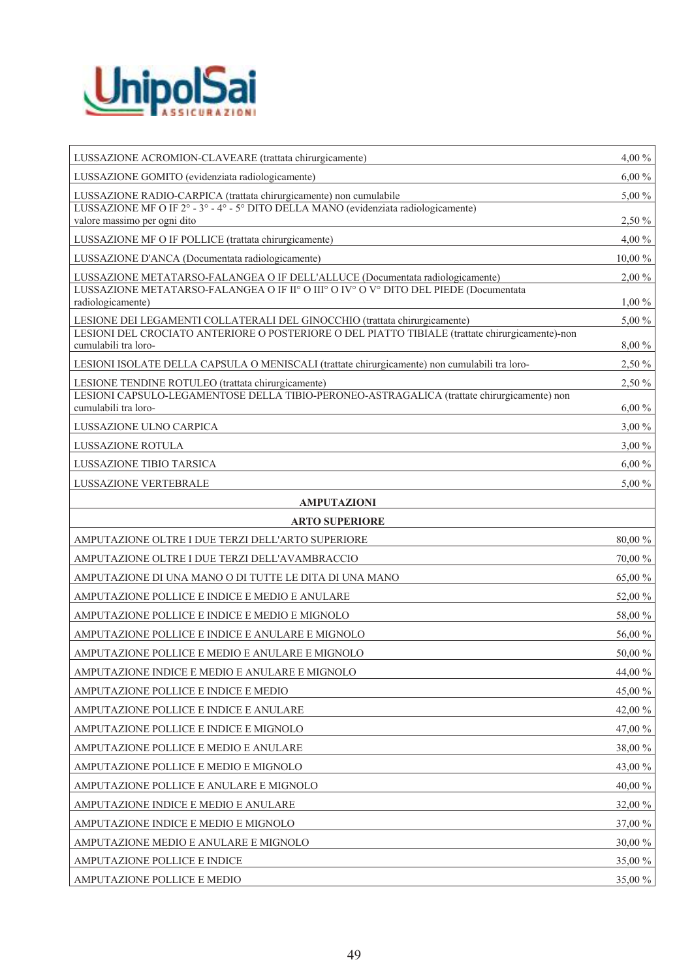

| LUSSAZIONE ACROMION-CLAVEARE (trattata chirurgicamente)                                                                                                 | $4,00\%$  |
|---------------------------------------------------------------------------------------------------------------------------------------------------------|-----------|
| LUSSAZIONE GOMITO (evidenziata radiologicamente)                                                                                                        | $6,00\%$  |
| LUSSAZIONE RADIO-CARPICA (trattata chirurgicamente) non cumulabile                                                                                      | 5,00 %    |
| LUSSAZIONE MF O IF $2^{\circ}$ - $3^{\circ}$ - $4^{\circ}$ - $5^{\circ}$ DITO DELLA MANO (evidenziata radiologicamente)<br>valore massimo per ogni dito | 2,50 %    |
| LUSSAZIONE MF O IF POLLICE (trattata chirurgicamente)                                                                                                   | 4,00 %    |
| LUSSAZIONE D'ANCA (Documentata radiologicamente)                                                                                                        | $10,00\%$ |
| LUSSAZIONE METATARSO-FALANGEA O IF DELL'ALLUCE (Documentata radiologicamente)                                                                           | $2,00\%$  |
| LUSSAZIONE METATARSO-FALANGEA O IF IIº O IIIº O IVº O Vº DITO DEL PIEDE (Documentata<br>radiologicamente)                                               | $1,00\%$  |
| LESIONE DEI LEGAMENTI COLLATERALI DEL GINOCCHIO (trattata chirurgicamente)                                                                              | $5,00\%$  |
| LESIONI DEL CROCIATO ANTERIORE O POSTERIORE O DEL PIATTO TIBIALE (trattate chirurgicamente)-non<br>cumulabili tra loro-                                 | 8,00 %    |
| LESIONI ISOLATE DELLA CAPSULA O MENISCALI (trattate chirurgicamente) non cumulabili tra loro-                                                           | 2,50 %    |
| LESIONE TENDINE ROTULEO (trattata chirurgicamente)                                                                                                      | 2,50 %    |
| LESIONI CAPSULO-LEGAMENTOSE DELLA TIBIO-PERONEO-ASTRAGALICA (trattate chirurgicamente) non<br>cumulabili tra loro-                                      | $6,00\%$  |
| LUSSAZIONE ULNO CARPICA                                                                                                                                 | $3,00\%$  |
| LUSSAZIONE ROTULA                                                                                                                                       | $3,00\%$  |
| <b>LUSSAZIONE TIBIO TARSICA</b>                                                                                                                         | $6,00\%$  |
| LUSSAZIONE VERTEBRALE                                                                                                                                   | 5,00 %    |
| <b>AMPUTAZIONI</b>                                                                                                                                      |           |
| <b>ARTO SUPERIORE</b>                                                                                                                                   |           |
| AMPUTAZIONE OLTRE I DUE TERZI DELL'ARTO SUPERIORE                                                                                                       | 80,00 %   |
| AMPUTAZIONE OLTRE I DUE TERZI DELL'AVAMBRACCIO                                                                                                          | 70,00 %   |
| AMPUTAZIONE DI UNA MANO O DI TUTTE LE DITA DI UNA MANO                                                                                                  | 65,00 %   |
| AMPUTAZIONE POLLICE E INDICE E MEDIO E ANULARE                                                                                                          | 52,00 %   |
| AMPUTAZIONE POLLICE E INDICE E MEDIO E MIGNOLO                                                                                                          | 58,00 %   |
| AMPUTAZIONE POLLICE E INDICE E ANULARE E MIGNOLO                                                                                                        | 56,00 %   |
| AMPUTAZIONE POLLICE E MEDIO E ANULARE E MIGNOLO                                                                                                         | 50,00 %   |
| AMPUTAZIONE INDICE E MEDIO E ANULARE E MIGNOLO                                                                                                          | 44,00 %   |
| AMPUTAZIONE POLLICE E INDICE E MEDIO                                                                                                                    | 45,00 %   |
| AMPUTAZIONE POLLICE E INDICE E ANULARE                                                                                                                  | 42,00 %   |
| AMPUTAZIONE POLLICE E INDICE E MIGNOLO                                                                                                                  | 47,00 %   |
| AMPUTAZIONE POLLICE E MEDIO E ANULARE                                                                                                                   | 38,00%    |
| AMPUTAZIONE POLLICE E MEDIO E MIGNOLO                                                                                                                   | 43,00 %   |
| AMPUTAZIONE POLLICE E ANULARE E MIGNOLO                                                                                                                 | 40,00%    |
| AMPUTAZIONE INDICE E MEDIO E ANULARE                                                                                                                    | 32,00 %   |
| AMPUTAZIONE INDICE E MEDIO E MIGNOLO                                                                                                                    | 37,00 %   |
| AMPUTAZIONE MEDIO E ANULARE E MIGNOLO                                                                                                                   | $30,00\%$ |
| AMPUTAZIONE POLLICE E INDICE                                                                                                                            | 35,00 %   |
| AMPUTAZIONE POLLICE E MEDIO                                                                                                                             | 35,00 %   |
|                                                                                                                                                         |           |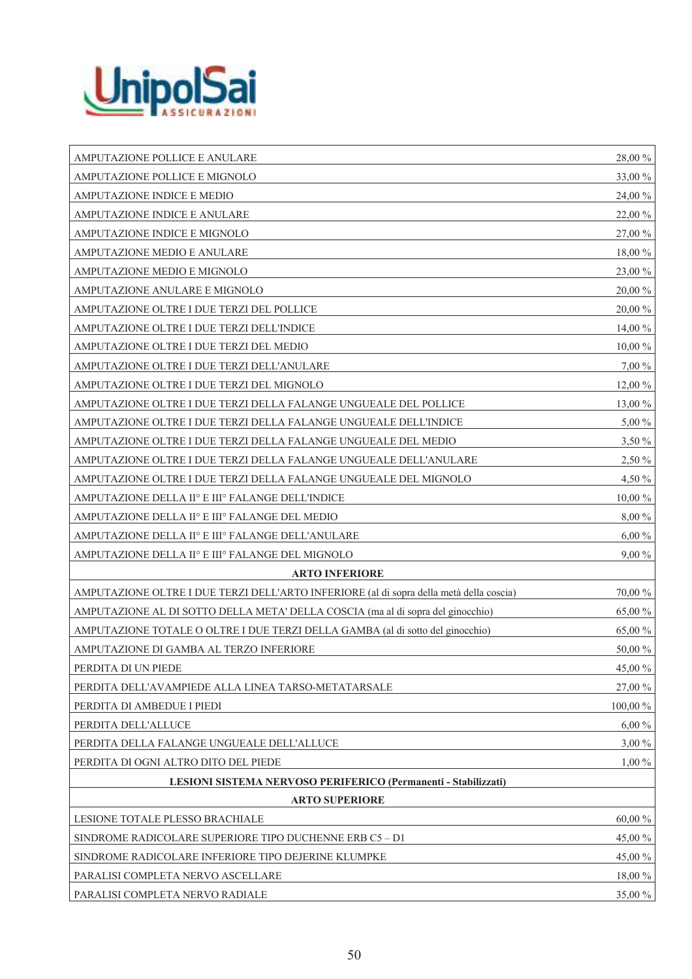

| AMPUTAZIONE POLLICE E ANULARE                                                           | 28,00 %     |
|-----------------------------------------------------------------------------------------|-------------|
| AMPUTAZIONE POLLICE E MIGNOLO                                                           | 33,00 %     |
| AMPUTAZIONE INDICE E MEDIO                                                              | 24,00 %     |
| AMPUTAZIONE INDICE E ANULARE                                                            | 22,00 %     |
| AMPUTAZIONE INDICE E MIGNOLO                                                            | 27,00 %     |
| AMPUTAZIONE MEDIO E ANULARE                                                             | 18,00 %     |
| AMPUTAZIONE MEDIO E MIGNOLO                                                             | 23,00 %     |
| AMPUTAZIONE ANULARE E MIGNOLO                                                           | $20,\!00$ % |
| AMPUTAZIONE OLTRE I DUE TERZI DEL POLLICE                                               | 20,00 %     |
| AMPUTAZIONE OLTRE I DUE TERZI DELL'INDICE                                               | 14,00 %     |
| AMPUTAZIONE OLTRE I DUE TERZI DEL MEDIO                                                 | 10,00 %     |
| AMPUTAZIONE OLTRE I DUE TERZI DELL'ANULARE                                              | 7,00 %      |
| AMPUTAZIONE OLTRE I DUE TERZI DEL MIGNOLO                                               | 12,00 %     |
| AMPUTAZIONE OLTRE I DUE TERZI DELLA FALANGE UNGUEALE DEL POLLICE                        | 13,00 %     |
| AMPUTAZIONE OLTRE I DUE TERZI DELLA FALANGE UNGUEALE DELL'INDICE                        | 5,00 %      |
| AMPUTAZIONE OLTRE I DUE TERZI DELLA FALANGE UNGUEALE DEL MEDIO                          | 3,50 %      |
| AMPUTAZIONE OLTRE I DUE TERZI DELLA FALANGE UNGUEALE DELL'ANULARE                       | 2,50 %      |
| AMPUTAZIONE OLTRE I DUE TERZI DELLA FALANGE UNGUEALE DEL MIGNOLO                        | 4,50 %      |
| AMPUTAZIONE DELLA II° E III° FALANGE DELL'INDICE                                        | 10,00 %     |
| AMPUTAZIONE DELLA II° E III° FALANGE DEL MEDIO                                          | 8,00 %      |
| AMPUTAZIONE DELLA II° E III° FALANGE DELL'ANULARE                                       | 6,00%       |
| AMPUTAZIONE DELLA II° E III° FALANGE DEL MIGNOLO                                        | 9,00 %      |
| <b>ARTO INFERIORE</b>                                                                   |             |
| AMPUTAZIONE OLTRE I DUE TERZI DELL'ARTO INFERIORE (al di sopra della metà della coscia) | 70,00 %     |
| AMPUTAZIONE AL DI SOTTO DELLA META' DELLA COSCIA (ma al di sopra del ginocchio)         | 65,00 %     |
| AMPUTAZIONE TOTALE O OLTRE I DUE TERZI DELLA GAMBA (al di sotto del ginocchio)          | 65,00 %     |
| AMPUTAZIONE DI GAMBA AL TERZO INFERIORE                                                 | 50,00 %     |
| PERDITA DI UN PIEDE                                                                     | 45,00 %     |
| PERDITA DELL'AVAMPIEDE ALLA LINEA TARSO-METATARSALE                                     | 27,00 %     |
| PERDITA DI AMBEDUE I PIEDI                                                              | $100,00\%$  |
| PERDITA DELL'ALLUCE                                                                     | $6,00\%$    |
| PERDITA DELLA FALANGE UNGUEALE DELL'ALLUCE                                              | $3,00\%$    |
| PERDITA DI OGNI ALTRO DITO DEL PIEDE                                                    | $1,00\%$    |
| LESIONI SISTEMA NERVOSO PERIFERICO (Permanenti - Stabilizzati)                          |             |
| <b>ARTO SUPERIORE</b>                                                                   |             |
| LESIONE TOTALE PLESSO BRACHIALE                                                         | 60,00 %     |
| SINDROME RADICOLARE SUPERIORE TIPO DUCHENNE ERB C5 - D1                                 | 45,00 %     |
| SINDROME RADICOLARE INFERIORE TIPO DEJERINE KLUMPKE                                     | 45,00 %     |
| PARALISI COMPLETA NERVO ASCELLARE                                                       | 18,00 %     |
| PARALISI COMPLETA NERVO RADIALE                                                         | 35,00 %     |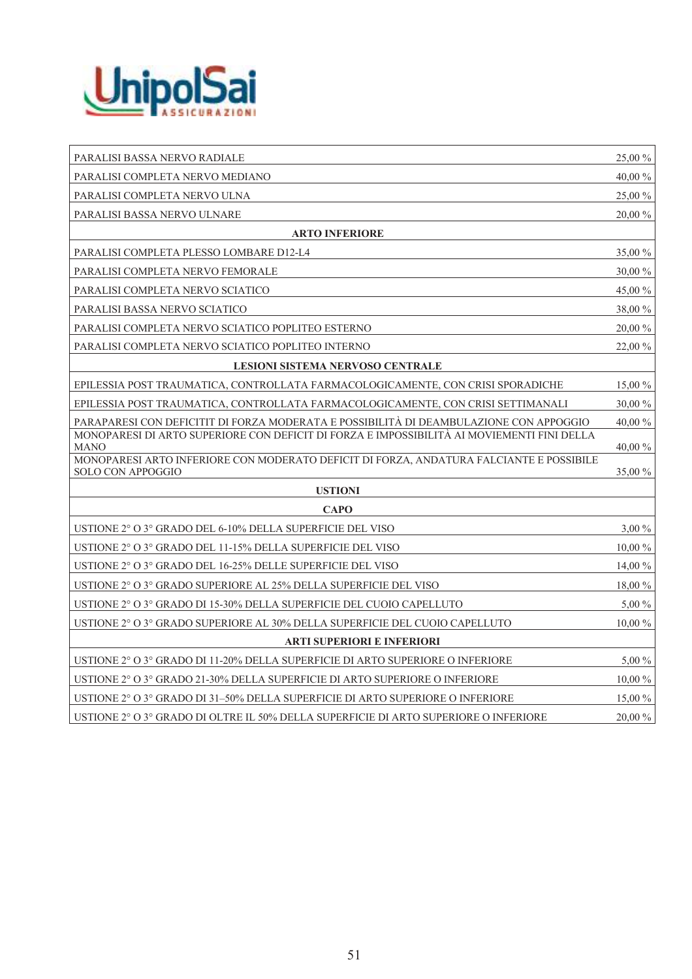

| PARALISI BASSA NERVO RADIALE                                                                                 | 25,00 %  |
|--------------------------------------------------------------------------------------------------------------|----------|
| PARALISI COMPLETA NERVO MEDIANO                                                                              | 40,00%   |
| PARALISI COMPLETA NERVO ULNA                                                                                 | 25,00 %  |
| PARALISI BASSA NERVO ULNARE                                                                                  | 20,00 %  |
| <b>ARTO INFERIORE</b>                                                                                        |          |
| PARALISI COMPLETA PLESSO LOMBARE D12-L4                                                                      | 35,00 %  |
| PARALISI COMPLETA NERVO FEMORALE                                                                             | 30,00 %  |
| PARALISI COMPLETA NERVO SCIATICO                                                                             | 45,00 %  |
| PARALISI BASSA NERVO SCIATICO                                                                                | 38,00 %  |
| PARALISI COMPLETA NERVO SCIATICO POPLITEO ESTERNO                                                            | 20,00 %  |
| PARALISI COMPLETA NERVO SCIATICO POPLITEO INTERNO                                                            | 22,00 %  |
| LESIONI SISTEMA NERVOSO CENTRALE                                                                             |          |
| EPILESSIA POST TRAUMATICA, CONTROLLATA FARMACOLOGICAMENTE, CON CRISI SPORADICHE                              | 15,00 %  |
| EPILESSIA POST TRAUMATICA, CONTROLLATA FARMACOLOGICAMENTE, CON CRISI SETTIMANALI                             | 30,00 %  |
| PARAPARESI CON DEFICITIT DI FORZA MODERATA E POSSIBILITÀ DI DEAMBULAZIONE CON APPOGGIO                       | 40,00 %  |
| MONOPARESI DI ARTO SUPERIORE CON DEFICIT DI FORZA E IMPOSSIBILITÀ AI MOVIEMENTI FINI DELLA<br><b>MANO</b>    | 40,00 %  |
| MONOPARESI ARTO INFERIORE CON MODERATO DEFICIT DI FORZA, ANDATURA FALCIANTE E POSSIBILE<br>SOLO CON APPOGGIO | 35,00 %  |
| <b>USTIONI</b>                                                                                               |          |
| <b>CAPO</b>                                                                                                  |          |
| USTIONE 2° O 3° GRADO DEL 6-10% DELLA SUPERFICIE DEL VISO                                                    | $3,00\%$ |
| USTIONE 2° O 3° GRADO DEL 11-15% DELLA SUPERFICIE DEL VISO                                                   | 10,00 %  |
| USTIONE 2° O 3° GRADO DEL 16-25% DELLE SUPERFICIE DEL VISO                                                   | 14,00 %  |
| USTIONE 2° O 3° GRADO SUPERIORE AL 25% DELLA SUPERFICIE DEL VISO                                             | 18,00 %  |
| USTIONE 2° O 3° GRADO DI 15-30% DELLA SUPERFICIE DEL CUOIO CAPELLUTO                                         | 5,00 %   |
| USTIONE 2° O 3° GRADO SUPERIORE AL 30% DELLA SUPERFICIE DEL CUOIO CAPELLUTO                                  | 10,00 %  |
| <b>ARTI SUPERIORI E INFERIORI</b>                                                                            |          |
| USTIONE 2° O 3° GRADO DI 11-20% DELLA SUPERFICIE DI ARTO SUPERIORE O INFERIORE                               | 5,00 %   |
| USTIONE 2° O 3° GRADO 21-30% DELLA SUPERFICIE DI ARTO SUPERIORE O INFERIORE                                  | 10,00 %  |
| USTIONE 2° O 3° GRADO DI 31-50% DELLA SUPERFICIE DI ARTO SUPERIORE O INFERIORE                               | 15,00 %  |
| USTIONE 2° O 3° GRADO DI OLTRE IL 50% DELLA SUPERFICIE DI ARTO SUPERIORE O INFERIORE                         | 20,00 %  |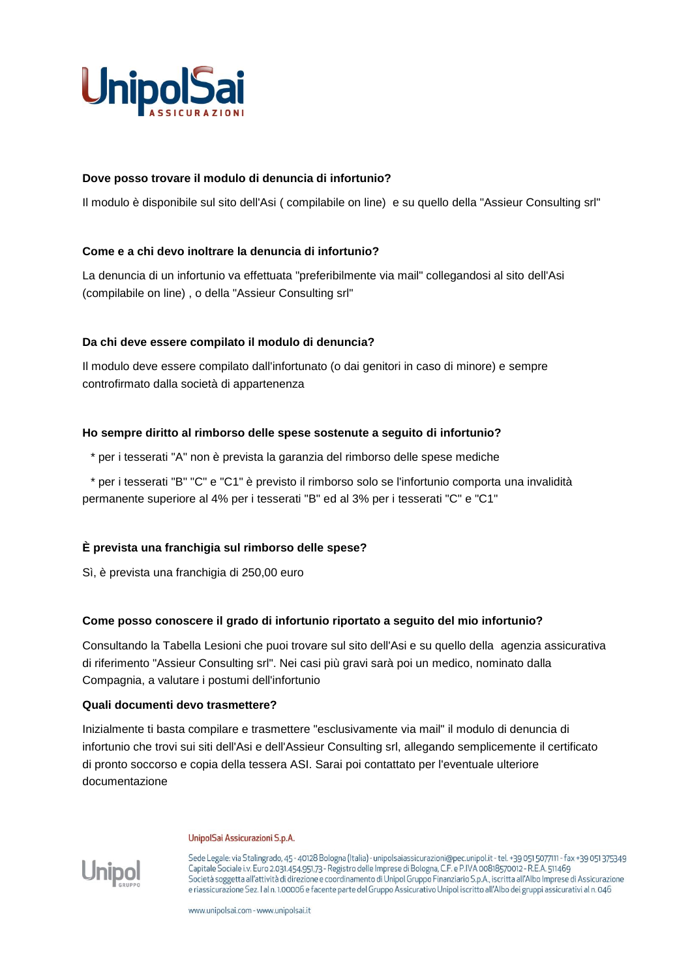

### **Dove posso trovare il modulo di denuncia di infortunio?**

Il modulo è disponibile sul sito dell'Asi ( compilabile on line) e su quello della "Assieur Consulting srl"

#### **Come e a chi devo inoltrare la denuncia di infortunio?**

La denuncia di un infortunio va effettuata "preferibilmente via mail" collegandosi al sito dell'Asi (compilabile on line) , o della "Assieur Consulting srl"

#### **Da chi deve essere compilato il modulo di denuncia?**

Il modulo deve essere compilato dall'infortunato (o dai genitori in caso di minore) e sempre controfirmato dalla società di appartenenza

#### **Ho sempre diritto al rimborso delle spese sostenute a seguito di infortunio?**

\* per i tesserati "A" non è prevista la garanzia del rimborso delle spese mediche

\* per i tesserati "B" "C" e "C1" è previsto il rimborso solo se l'infortunio comporta una invalidità permanente superiore al 4% per i tesserati "B" ed al 3% per i tesserati "C" e "C1"

#### **È prevista una franchigia sul rimborso delle spese?**

Sì, è prevista una franchigia di 250,00 euro

#### **Come posso conoscere il grado di infortunio riportato a seguito del mio infortunio?**

Consultando la Tabella Lesioni che puoi trovare sul sito dell'Asi e su quello della agenzia assicurativa di riferimento "Assieur Consulting srl". Nei casi più gravi sarà poi un medico, nominato dalla Compagnia, a valutare i postumi dell'infortunio

#### **Quali documenti devo trasmettere?**

Inizialmente ti basta compilare e trasmettere "esclusivamente via mail" il modulo di denuncia di infortunio che trovi sui siti dell'Asi e dell'Assieur Consulting srl, allegando semplicemente il certificato di pronto soccorso e copia della tessera ASI. Sarai poi contattato per l'eventuale ulteriore documentazione

#### UnipolSai Assicurazioni S.p.A.



Sede Legale: via Stalingrado, 45 - 40128 Bologna (Italia) - unipolsaiassicurazioni@pec.unipol.it - tel. +39 051 5077111 - fax +39 051 375349 Capitale Sociale i.v. Euro 2.031.454.951.73 - Registro delle Imprese di Bologna, C.F. e P.IVA 00818570012 - R.E.A. 511469 Società soggetta all'attività di direzione e coordinamento di Unipol Gruppo Finanziario S.p.A., iscritta all'Albo Imprese di Assicurazione e riassicurazione Sez. I al n. 1.00006 e facente parte del Gruppo Assicurativo Unipoliscritto all'Albo dei gruppi assicurativi al n. 046

www.unipolsai.com - www.unipolsai.it